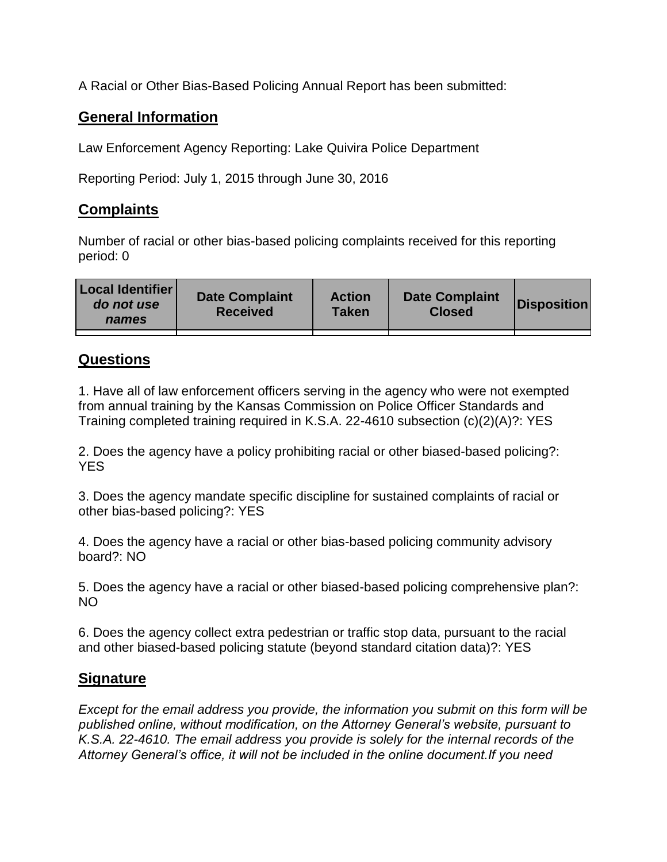A Racial or Other Bias-Based Policing Annual Report has been submitted:

## **General Information**

Law Enforcement Agency Reporting: Lake Quivira Police Department

Reporting Period: July 1, 2015 through June 30, 2016

## **Complaints**

Number of racial or other bias-based policing complaints received for this reporting period: 0

| <b>Local Identifier</b><br>do not use<br>names | <b>Date Complaint</b><br><b>Received</b> | <b>Action</b><br><b>Taken</b> | <b>Date Complaint</b><br><b>Closed</b> | Disposition |
|------------------------------------------------|------------------------------------------|-------------------------------|----------------------------------------|-------------|
|                                                |                                          |                               |                                        |             |

## **Questions**

1. Have all of law enforcement officers serving in the agency who were not exempted from annual training by the Kansas Commission on Police Officer Standards and Training completed training required in K.S.A. 22-4610 subsection (c)(2)(A)?: YES

2. Does the agency have a policy prohibiting racial or other biased-based policing?: YES

3. Does the agency mandate specific discipline for sustained complaints of racial or other bias-based policing?: YES

4. Does the agency have a racial or other bias-based policing community advisory board?: NO

5. Does the agency have a racial or other biased-based policing comprehensive plan?: NO

6. Does the agency collect extra pedestrian or traffic stop data, pursuant to the racial and other biased-based policing statute (beyond standard citation data)?: YES

## **Signature**

*Except for the email address you provide, the information you submit on this form will be published online, without modification, on the Attorney General's website, pursuant to K.S.A. 22-4610. The email address you provide is solely for the internal records of the Attorney General's office, it will not be included in the online document.If you need*